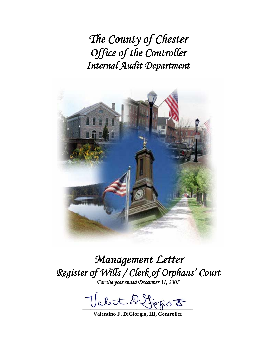*The County of Chester Office of the Controller Internal Audit Department* 



*Management Letter Register of Wills / Clerk of Orphans' Court For the year ended December 31, 2007* 

abut D. first F

**Valentino F. DiGiorgio, III, Controller**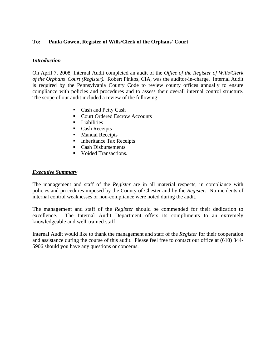## **To: Paula Gowen, Register of Wills/Clerk of the Orphans' Court**

## *Introduction*

On April 7, 2008, Internal Audit completed an audit of the *Office of the Register of Wills/Clerk of the Orphans' Court (Register).* Robert Pinkos, CIA, was the auditor-in-charge. Internal Audit is required by the Pennsylvania County Code to review county offices annually to ensure compliance with policies and procedures and to assess their overall internal control structure. The scope of our audit included a review of the following:

- Cash and Petty Cash
- Court Ordered Escrow Accounts
- $\blacksquare$  Liabilities
- Cash Receipts
- **Manual Receipts**
- Inheritance Tax Receipts
- Cash Disbursements
- Voided Transactions.

#### *Executive Summary*

The management and staff of the *Register* are in all material respects, in compliance with policies and procedures imposed by the County of Chester and by the *Register*. No incidents of internal control weaknesses or non-compliance were noted during the audit.

The management and staff of the *Register* should be commended for their dedication to excellence. The Internal Audit Department offers its compliments to an extremely knowledgeable and well-trained staff.

Internal Audit would like to thank the management and staff of the *Register* for their cooperation and assistance during the course of this audit. Please feel free to contact our office at (610) 344- 5906 should you have any questions or concerns.